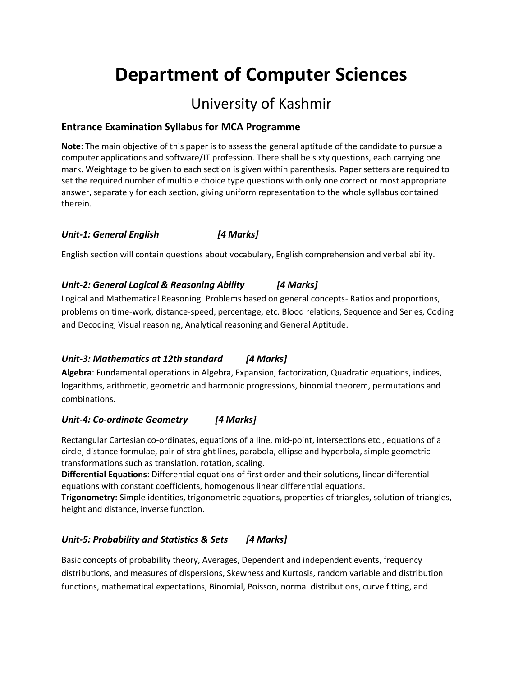# **Department of Computer Sciences**

# University of Kashmir

# **Entrance Examination Syllabus for MCA Programme**

**Note**: The main objective of this paper is to assess the general aptitude of the candidate to pursue a computer applications and software/IT profession. There shall be sixty questions, each carrying one mark. Weightage to be given to each section is given within parenthesis. Paper setters are required to set the required number of multiple choice type questions with only one correct or most appropriate answer, separately for each section, giving uniform representation to the whole syllabus contained therein.

# *Unit-1: General English [4 Marks]*

English section will contain questions about vocabulary, English comprehension and verbal ability.

# *Unit-2: General Logical & Reasoning Ability [4 Marks]*

Logical and Mathematical Reasoning. Problems based on general concepts- Ratios and proportions, problems on time-work, distance-speed, percentage, etc. Blood relations, Sequence and Series, Coding and Decoding, Visual reasoning, Analytical reasoning and General Aptitude.

# *Unit-3: Mathematics at 12th standard [4 Marks]*

**Algebra**: Fundamental operations in Algebra, Expansion, factorization, Quadratic equations, indices, logarithms, arithmetic, geometric and harmonic progressions, binomial theorem, permutations and combinations.

# *Unit-4: Co-ordinate Geometry [4 Marks]*

Rectangular Cartesian co-ordinates, equations of a line, mid-point, intersections etc., equations of a circle, distance formulae, pair of straight lines, parabola, ellipse and hyperbola, simple geometric transformations such as translation, rotation, scaling.

**Differential Equations**: Differential equations of first order and their solutions, linear differential equations with constant coefficients, homogenous linear differential equations.

**Trigonometry:** Simple identities, trigonometric equations, properties of triangles, solution of triangles, height and distance, inverse function.

# *Unit-5: Probability and Statistics & Sets [4 Marks]*

Basic concepts of probability theory, Averages, Dependent and independent events, frequency distributions, and measures of dispersions, Skewness and Kurtosis, random variable and distribution functions, mathematical expectations, Binomial, Poisson, normal distributions, curve fitting, and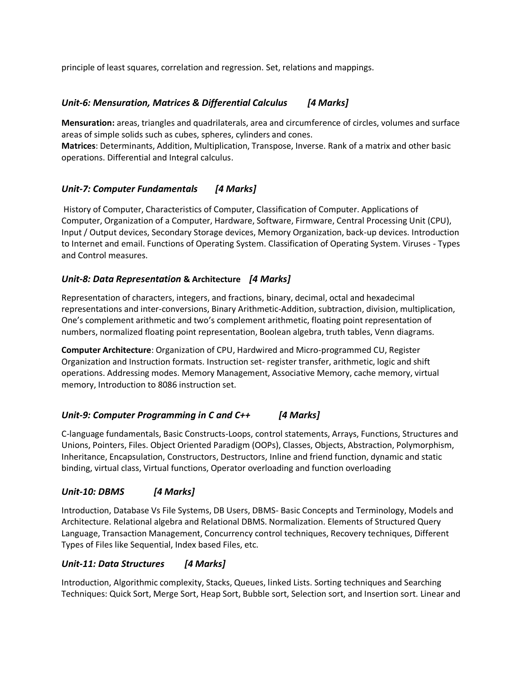principle of least squares, correlation and regression. Set, relations and mappings.

#### *Unit-6: Mensuration, Matrices & Differential Calculus [4 Marks]*

**Mensuration:** areas, triangles and quadrilaterals, area and circumference of circles, volumes and surface areas of simple solids such as cubes, spheres, cylinders and cones.

**Matrices**: Determinants, Addition, Multiplication, Transpose, Inverse. Rank of a matrix and other basic operations. Differential and Integral calculus.

# *Unit-7: Computer Fundamentals [4 Marks]*

History of Computer, Characteristics of Computer, Classification of Computer. Applications of Computer, Organization of a Computer, Hardware, Software, Firmware, Central Processing Unit (CPU), Input / Output devices, Secondary Storage devices, Memory Organization, back-up devices. Introduction to Internet and email. Functions of Operating System. Classification of Operating System. Viruses - Types and Control measures.

#### *Unit-8: Data Representation* **& Architecture** *[4 Marks]*

Representation of characters, integers, and fractions, binary, decimal, octal and hexadecimal representations and inter-conversions, Binary Arithmetic-Addition, subtraction, division, multiplication, One's complement arithmetic and two's complement arithmetic, floating point representation of numbers, normalized floating point representation, Boolean algebra, truth tables, Venn diagrams.

**Computer Architecture**: Organization of CPU, Hardwired and Micro-programmed CU, Register Organization and Instruction formats. Instruction set- register transfer, arithmetic, logic and shift operations. Addressing modes. Memory Management, Associative Memory, cache memory, virtual memory, Introduction to 8086 instruction set.

# *Unit-9: Computer Programming in C and C++ [4 Marks]*

C-language fundamentals, Basic Constructs-Loops, control statements, Arrays, Functions, Structures and Unions, Pointers, Files. Object Oriented Paradigm (OOPs), Classes, Objects, Abstraction, Polymorphism, Inheritance, Encapsulation, Constructors, Destructors, Inline and friend function, dynamic and static binding, virtual class, Virtual functions, Operator overloading and function overloading

# *Unit-10: DBMS [4 Marks]*

Introduction, Database Vs File Systems, DB Users, DBMS- Basic Concepts and Terminology, Models and Architecture. Relational algebra and Relational DBMS. Normalization. Elements of Structured Query Language, Transaction Management, Concurrency control techniques, Recovery techniques, Different Types of Files like Sequential, Index based Files, etc.

#### *Unit-11: Data Structures [4 Marks]*

Introduction, Algorithmic complexity, Stacks, Queues, linked Lists. Sorting techniques and Searching Techniques: Quick Sort, Merge Sort, Heap Sort, Bubble sort, Selection sort, and Insertion sort. Linear and